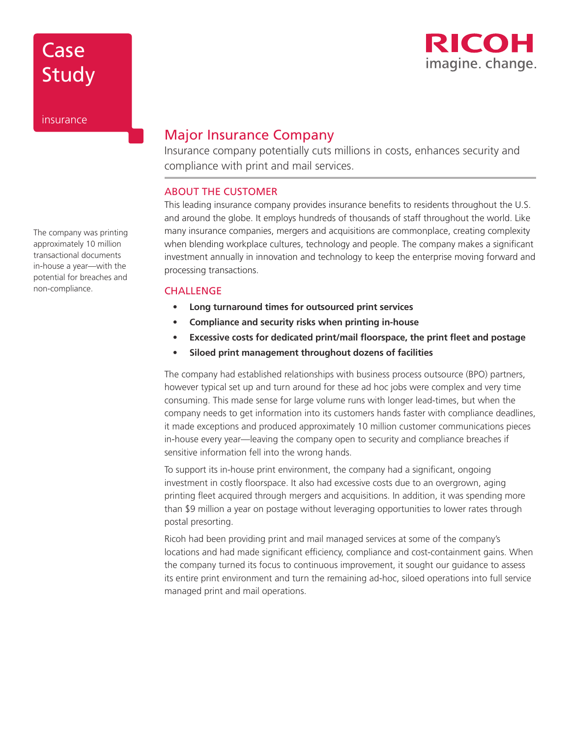

Study

insurance

Case

## Major Insurance Company

Insurance company potentially cuts millions in costs, enhances security and compliance with print and mail services.

### ABOUT THE CUSTOMER

This leading insurance company provides insurance benefits to residents throughout the U.S. and around the globe. It employs hundreds of thousands of staff throughout the world. Like many insurance companies, mergers and acquisitions are commonplace, creating complexity when blending workplace cultures, technology and people. The company makes a significant investment annually in innovation and technology to keep the enterprise moving forward and processing transactions.

#### **CHALLENGE**

- **• Long turnaround times for outsourced print services**
- **• Compliance and security risks when printing in-house**
- **• Excessive costs for dedicated print/mail floorspace, the print fleet and postage**
- **• Siloed print management throughout dozens of facilities**

The company had established relationships with business process outsource (BPO) partners, however typical set up and turn around for these ad hoc jobs were complex and very time consuming. This made sense for large volume runs with longer lead-times, but when the company needs to get information into its customers hands faster with compliance deadlines, it made exceptions and produced approximately 10 million customer communications pieces in-house every year—leaving the company open to security and compliance breaches if sensitive information fell into the wrong hands.

To support its in-house print environment, the company had a significant, ongoing investment in costly floorspace. It also had excessive costs due to an overgrown, aging printing fleet acquired through mergers and acquisitions. In addition, it was spending more than \$9 million a year on postage without leveraging opportunities to lower rates through postal presorting.

Ricoh had been providing print and mail managed services at some of the company's locations and had made significant efficiency, compliance and cost-containment gains. When the company turned its focus to continuous improvement, it sought our guidance to assess its entire print environment and turn the remaining ad-hoc, siloed operations into full service managed print and mail operations.

The company was printing approximately 10 million transactional documents in-house a year—with the potential for breaches and non-compliance.